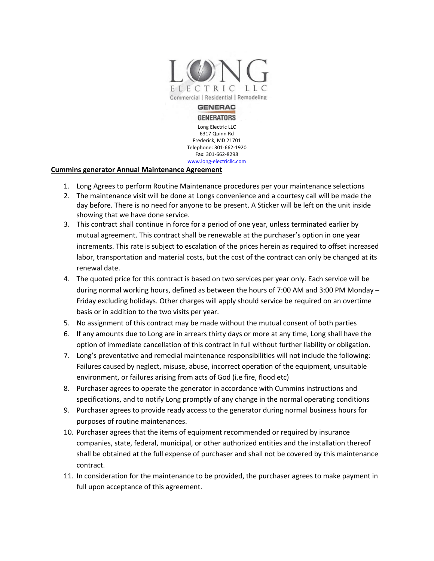

**GENERATORS** Long Electric LLC 6317 Quinn Rd Frederick, MD 21701 Telephone: 301-662-1920 Fax: 301-662-8298 www.long-electricllc.com

## **Cummins generator Annual Maintenance Agreement**

- 1. Long Agrees to perform Routine Maintenance procedures per your maintenance selections
- 2. The maintenance visit will be done at Longs convenience and a courtesy call will be made the day before. There is no need for anyone to be present. A Sticker will be left on the unit inside showing that we have done service.
- 3. This contract shall continue in force for a period of one year, unless terminated earlier by mutual agreement. This contract shall be renewable at the purchaser's option in one year increments. This rate is subject to escalation of the prices herein as required to offset increased labor, transportation and material costs, but the cost of the contract can only be changed at its renewal date.
- 4. The quoted price for this contract is based on two services per year only. Each service will be during normal working hours, defined as between the hours of 7:00 AM and 3:00 PM Monday – Friday excluding holidays. Other charges will apply should service be required on an overtime basis or in addition to the two visits per year.
- 5. No assignment of this contract may be made without the mutual consent of both parties
- 6. If any amounts due to Long are in arrears thirty days or more at any time, Long shall have the option of immediate cancellation of this contract in full without further liability or obligation.
- 7. Long's preventative and remedial maintenance responsibilities will not include the following: Failures caused by neglect, misuse, abuse, incorrect operation of the equipment, unsuitable environment, or failures arising from acts of God (i.e fire, flood etc)
- 8. Purchaser agrees to operate the generator in accordance with Cummins instructions and specifications, and to notify Long promptly of any change in the normal operating conditions
- 9. Purchaser agrees to provide ready access to the generator during normal business hours for purposes of routine maintenances.
- 10. Purchaser agrees that the items of equipment recommended or required by insurance companies, state, federal, municipal, or other authorized entities and the installation thereof shall be obtained at the full expense of purchaser and shall not be covered by this maintenance contract.
- 11. In consideration for the maintenance to be provided, the purchaser agrees to make payment in full upon acceptance of this agreement.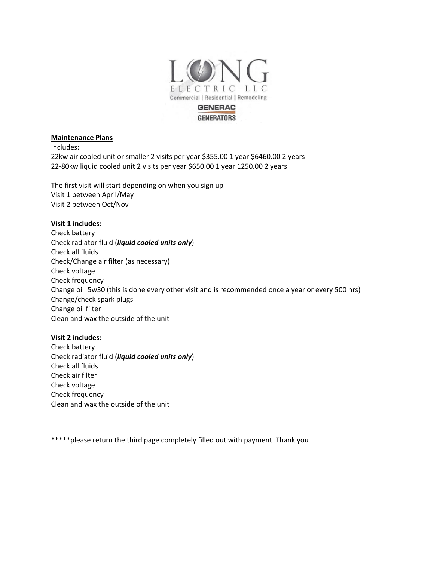

# **GENERATORS**

#### **Maintenance Plans**

Includes:

22kw air cooled unit or smaller 2 visits per year \$355.00 1 year \$6460.00 2 years 22-80kw liquid cooled unit 2 visits per year \$650.00 1 year 1250.00 2 years

The first visit will start depending on when you sign up Visit 1 between April/May Visit 2 between Oct/Nov

## **Visit 1 includes:**

Check battery Check radiator fluid (*liquid cooled units only*) Check all fluids Check/Change air filter (as necessary) Check voltage Check frequency Change oil 5w30 (this is done every other visit and is recommended once a year or every 500 hrs) Change/check spark plugs Change oil filter Clean and wax the outside of the unit

## **Visit 2 includes:**

Check battery Check radiator fluid (*liquid cooled units only*) Check all fluids Check air filter Check voltage Check frequency Clean and wax the outside of the unit

\*\*\*\*\*please return the third page completely filled out with payment. Thank you